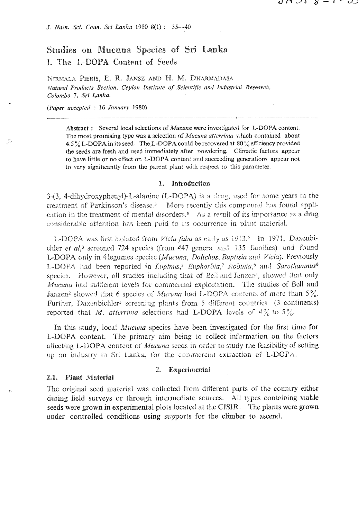J. Nain. Sci. Coun. Sri Lanka 1980 8(1): 35-40

# Studies on Mucuna Species of Sri Lanka I. The L-DOPA Content of Seeds

NIRMALA PIERIS, E. R. JANSZ AND H. M. DHARMADASA Natural Products Section, Ceylon Institute of Scientific and Industrial Research, Colombo 7, Sri Lanka.

(Paper accepted: 16 January 1980)

Plant Material

 $2.1.$ 

Abstract: Several local selections of *Mucuna* were investigated for L-DOPA content. The most promising type was a selection of Mucuna atterrima which contained about 4.5% L-DOPA in its seed. The L-DOPA could be recovered at 80% efficiency provided the seeds are fresh and used immediately after powdering. Climatic factors appear to have little or no effect on L-DOPA content and succeeding generations appear not to vary significantly from the parent plant with respect to this parameter.

#### 1. Introduction

 $3-(3, 4-dihydroxyphenyl)-L-alanine (L-DOPA)$  is a drug, used for some years in the treatment of Parkinson's disease.<sup>3</sup> More recently this compound has found application in the treatment of mental disorders.<sup>8</sup> As a result of its importance as a drug considerable attention has been paid to its occurrence in plant material.

L-DOPA was first isolated from Vicia faba as early as 1913.<sup>5</sup> In 1971, Daxenbichler et al,<sup>3</sup> screened 724 species (from 447 genera and 135 families) and found L-DOPA only in 4 legumes species (Mucuna, Dolichos, Baptisia and Vicia). Previously L-DOPA had been reported in Lupinus,<sup>3</sup> Euphorbia,<sup>7</sup> Robinia,<sup>6</sup> and Sarothamnus<sup>6</sup> species. However, all studies including that of Bell and Janzen<sup>2</sup>, showed that only Mucuna had sufficient levels for commercial exploitation. The studies of Bell and Janzen<sup>2</sup> showed that 6 species of Mucuna had L-DOPA contents of more than 5%. Further, Daxenbichler<sup>3</sup> screening plants from 5 different countries (3 continents) reported that M, atterrima selections had L-DOPA levels of  $4\%$  to  $5\%$ .

In this study, local *Mucuna* species have been investigated for the first time for L-DOPA content. The primary aim being to collect information on the factors affecting L-DOPA content of *Mucuna* seeds in order to study the feasibility of setting up an industry in Sri Lanka, for the commercial extraction of L-DOPA.

## 2. Experimental

## The original seed material was collected from different parts of the country either during field surveys or through intermediate sources. All types containing viable seeds were grown in experimental plots located at the CISIR. The plants were grown under controlled conditions using supports for the climber to ascend.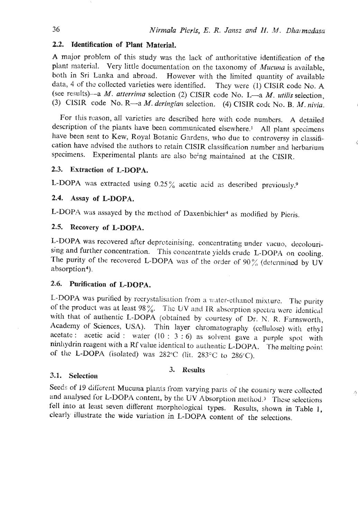## **2.2. Tdentification of Plant Material.**

A major problem of this study was the lack of authoritative identification of the plant material. Very little documentation on the taxonomy of *Mucuna* is available, both in Sri Lanka and abroad. However \with the limited quantity of available data, 4 of the collected varieties were identified. They were (1) CISIR code No. A (see recu1ts)-a M. *atrerriina* selection *(2)* CISIR code No. L-a M. *utilis* selection, (3) **CISIR** code No. R—a *M. deringian* selection. (4) **CISIR** code No. B. *M. nivia.* 

For this reason, all varieties are described here with code numbers. A detailed description of the plants have been communicated elsewhere.' **All** plant specimens have been sent to Kew, Royal Botanic Gardens, who due to controversy in classification have advised the authors to retain ClSIR classification number and herbarium specimens. Experimental plants are also being maintained at the CISIR.

## 2.3. Extraction of L-DOPA.

L-DOPA was extracted using  $0.25\%$  acetic acid as described previously.<sup>9</sup>

## **2.4. Assay of L-DOPA.**

L-DOPA was assayed by the method of Daxenbichler<sup>4</sup> as modified by Pieris.

## **2.5. Rccovery wf L-DOPA.**

L-DOPA was recovered after deproteinising, concentrating under vacuo, decolourising and further concentration. This concentrate yields crude L-DOPA on cooling. The purity of the recovered L-DOPA was of the order of  $90\%$  (determined by UV absorption<sup>4</sup>).

## **2.6. Purification of L-DOPA.**

L-DOPA was purified by rccrystalisntion from **3** w,itcr-sthxnol mixture. **The** purity of the product was at least  $98\%$ . The UV and IR absorption spectra were identical with that of authentic L-DOPA (obtained by courtesy of Dr. N. R. Farnsworth, Academy of Sciences, USA). Thin layer chromatography (cellulose) with ethyl acetate : acetic acid : water  $(10 : 3 : 6)$  as solvent gave a purple spot with ninhydrin reagent with a Rf value identical to authentic L-DOPA. The melting point of the L-DOPA (isolated) was 282°C (lit. 283°C to 286°C).

#### 3.1. Selection

#### **3. Hcsults**

Seeds of 19 different Mucuna plants irom varying parts of the country were collected and analysed for L-DOPA content, by the UV Absorption method.<sup>3</sup> These selections fell into at least seven different morphological types. Results, shown in Table 1, clearly illustrate the wide variation in L-DOPA content of the selections.

A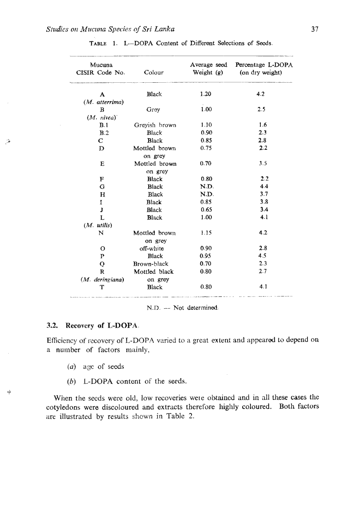| Mucuna<br>CISIR Code No. | Colour                   | Average seed<br>Weight $(g)$ | Percentage L-DOPA<br>(on dry weight) |
|--------------------------|--------------------------|------------------------------|--------------------------------------|
| A                        | Black                    | 1.20                         | 4.2                                  |
| (M. atterrima)           |                          |                              |                                      |
| $\mathbf B$              | Groy                     | 1.00                         | 2.5                                  |
| (M. nivea)               |                          |                              |                                      |
| B.1                      | Greyish brown            | 1.10                         | 1.6                                  |
| B.2                      | Black                    | 0.90                         | 2.3                                  |
| $\mathbf C$              | Black                    | 0.85                         | 2.8                                  |
| D                        | Mottled brown            | 0.75                         | 2.2                                  |
|                          | on grey                  |                              |                                      |
| E                        | Mottled brown            | 0.70                         | 3.5                                  |
|                          | on grey                  |                              |                                      |
| F                        | <b>Black</b>             | 0.80                         | 2.2                                  |
| G                        | <b>Black</b>             | N.D.                         | 4.4                                  |
| $\bf H$                  | Black                    | N.D.                         | 3.7                                  |
| I                        | Black                    | 0.85                         | 3.8                                  |
| J                        | <b>Black</b>             | 0.65                         | 3.4                                  |
| L                        | <b>Black</b>             | 1.00                         | 4.1                                  |
| $(M.$ utilis)            |                          |                              |                                      |
| N                        | Mottled brown<br>on grey | 1.15                         | 4.2                                  |
| $\mathbf{o}$             | off-white                | 0.90                         | 2.8                                  |
| P                        | <b>Black</b>             | 0.95                         | 4.5                                  |
| Q                        | Brown-black              | 0.70                         | 2.3                                  |
| $\mathbf{R}$             | Mottled black            | 0.80                         | 2.7                                  |
| (M. deringiana)          | on grey                  |                              |                                      |
| т                        | Black                    | 0.80                         | 4.1                                  |

| TABLE 1. I-DOPA Content of Different Selections of Seeds. |
|-----------------------------------------------------------|
|-----------------------------------------------------------|

**N.13.** -- **Not determined** 

#### 3.2. Recovery of L-DOPA.

لقتر

让

Efficiency of recovery of L-DOPA varied to a great extent and appeared to depend on a number of factors mainly,

- (a) age of seeds
- (b) **L-DOPA content of the seeds.**

**When the seeds were old, low recoveries were obtaincd and in** all **these cases the cotyledons were discoloured and extracts therefore highly coloured. Both factors are illustrated by results** shown **in Table 2.**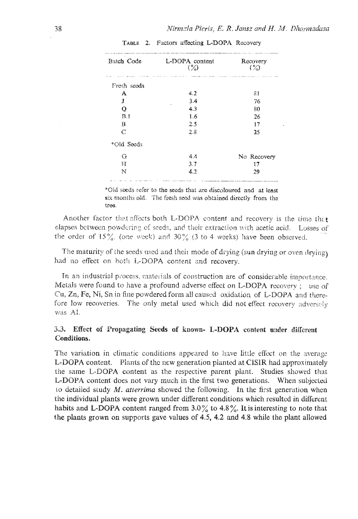| Batch Code<br>L-DOPA content<br>$(\%)$ |     | Recovery<br>$\langle \% \rangle$ |
|----------------------------------------|-----|----------------------------------|
| Fresh seeds                            |     |                                  |
| A                                      | 4.2 | 81                               |
| J                                      | 3.4 | 76                               |
| Q                                      | 4.3 | 80                               |
| B.1                                    | 1.6 | 26                               |
| $\mathbf B$                            | 2.5 | 17                               |
| C                                      | 2.8 | 25                               |
| *Old Seeds                             |     |                                  |
| G                                      | 4.4 | No Recovery                      |
| H                                      | 3.7 | 17                               |
| N                                      | 4.2 | 29                               |

TABLE 2. Factors affecting L-DOPA Recovery

\*Old soeds refer to the seeds that are discoloured and at least six months old. The fresh seed was obtained directly from the tree

Another factor that affects both L-DOPA content and recovery is the time that elapses between powdering of seeds, and their extraction with acetic acid. Losses of the order of  $15\%$ . (one week) and  $30\%$  (3 to 4 weeks) have been observed.

The maturity of the seeds used and their mode of drying (sun drying or oven drying) had no effect on both L-DOPA content and recovery.

In an industrial process, materials of construction are of considerable importance. Metals were found to have a profound adverse effect on L-DOPA recovery; use of Cu, Zn, Fe, Ni, Sn in fine powdered form all caused oxidation of L-DOPA and therefore low recoveries. The only metal used which did not effect recovery adversely was Al.

## 3.3. Effect of Propagating Seeds of known- L-DOPA content under different Conditions.

The variation in climatic conditions appeared to have little effect on the average L-DOPA content. Plants of the new generation planted at CISIR had approximately the same L-DOPA content as the respective parent plant. Studies showed that L-DOPA content does not vary much in the first two generations. When subjected to detailed study  $M$ . attertima showed the following. In the first generation when the individual plants were grown under different conditions which resulted in different habits and L-DOPA content ranged from  $3.0\%$  to  $4.8\%$ . It is interesting to note that the plants grown on supports gave values of 4.5, 4.2 and 4.8 while the plant allowed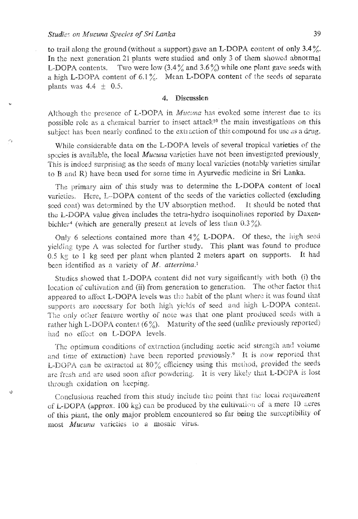Ú

to trail along the ground (without a support) gave an L-DOPA content of only 3.4%. In the next generation 21 plants were studied and only 3 of them showed abnormal L-DOPA contents. Two were low  $(3.4\%$  and  $3.6\%)$  while one plant gave seeds with a high L-DOPA content of 6.1%. Mean L-DOPA content of the seeds of separate plants was  $4.4 \pm 0.5$ .

#### **Discussion** 4.

Although the presence of L-DOPA in Mucana has evoked some interest due to its possible role as a chemical barrier to insect attack<sup>10</sup> the main investigations on this subject has been nearly confined to the extraction of this compound for use as a drug.

While considerable data on the L-DOPA levels of several tropical varieties of the species is available, the local Mucuna varieties have not been investigated previously This is indeed surprising as the seeds of many local varieties (notably varieties similar to B and R) have been used for some time in Ayurvedic medicine in Sri Lanka.

The primary aim of this study was to determine the L-DOPA content of local varieties. Here, L-DOPA content of the seeds of the varieties collected (excluding seed coat) was determined by the UV absorption method. It should be noted that the L-DOPA value given includes the tetra-hydro isoquinolines reported by Daxenbichler<sup>4</sup> (which are generally present at levels of less than  $0.3\frac{\%}{0}$ ).

Only 6 selections contained more than  $4\%$  L-DOPA. Of these, the high seed yielding type A was selected for further study. This plant was found to produce 0.5 kg to 1 kg seed per plant when planted 2 meters apart on supports. It had been identified as a variety of  $M$ . atterrima.<sup>1</sup>

Studies showed that L-DOPA content did not vary significantly with both (i) the location of cultivation and (ii) from generation to generation. The other factor that appeared to affect L-DOPA levels was the habit of the plant where it was found that supports are necessary for both high yields of seed and high L-DOPA content. The only other feature worthy of note was that one plant produced seeds with a rather high L-DOPA content  $(6\%)$ . Maturity of the seed (unlike previously reported) had no effect on L-DOPA levels.

The optimum conditions of extraction (including acetic acid strength and volume and time of extraction) have been reported previously.<sup>9</sup> It is now reported that L-DOPA can be extracted at 80% efficiency using this method, provided the seeds are fresh and are used soon after powdering. It is very likely that L-DOPA is lost through exidation on keeping.

Conclusions reached from this study include the point that the local requirement of L-DOPA (approx. 100 kg) can be produced by the cultivation of a mere 10 acres of this plant, the only major problem encountered so far being the susceptibility of most Mucuna varieties to a mosaic virus.